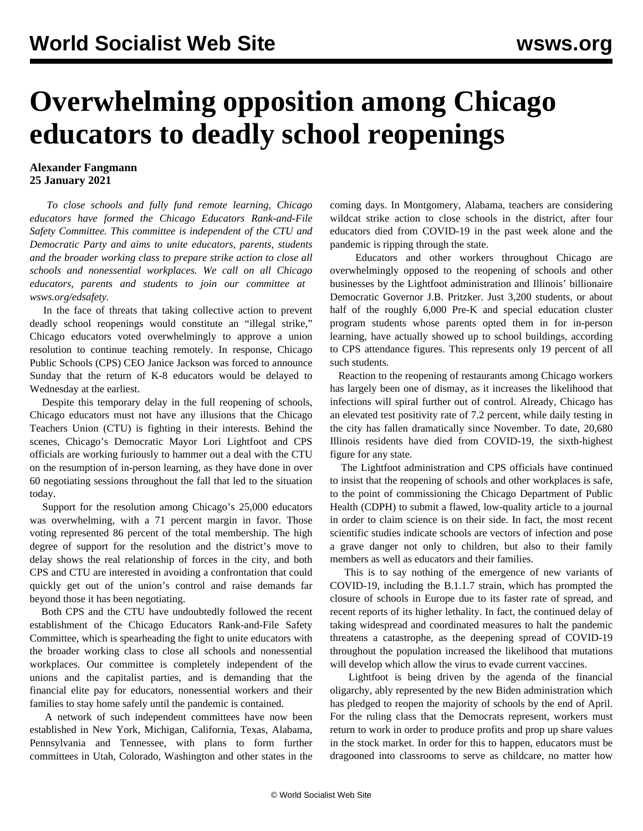## **Overwhelming opposition among Chicago educators to deadly school reopenings**

## **Alexander Fangmann 25 January 2021**

 *To close schools and fully fund remote learning, Chicago educators have formed the Chicago Educators Rank-and-File Safety Committee. This committee is independent of the CTU and Democratic Party and aims to unite educators, parents, students and the broader working class to prepare strike action to close all schools and nonessential workplaces. We call on all Chicago educators, parents and students to join our committee at [wsws.org/edsafety](/edsafety).*

 In the face of threats that taking collective action to prevent deadly school reopenings would constitute an "illegal strike," Chicago educators voted overwhelmingly to approve a union resolution to continue teaching remotely. In response, Chicago Public Schools (CPS) CEO Janice Jackson was forced to announce Sunday that the return of K-8 educators would be delayed to Wednesday at the earliest.

 Despite this temporary delay in the full reopening of schools, Chicago educators must not have any illusions that the Chicago Teachers Union (CTU) is fighting in their interests. Behind the scenes, Chicago's Democratic Mayor Lori Lightfoot and CPS officials are working furiously to hammer out a deal with the CTU on the resumption of in-person learning, as they have done in over 60 negotiating sessions throughout the fall that led to the situation today.

 Support for the resolution among Chicago's 25,000 educators was overwhelming, with a 71 percent margin in favor. Those voting represented 86 percent of the total membership. The high degree of support for the resolution and the district's move to delay shows the real relationship of forces in the city, and both CPS and CTU are interested in avoiding a confrontation that could quickly get out of the union's control and raise demands far beyond those it has been negotiating.

 Both CPS and the CTU have undoubtedly followed the recent establishment of the [Chicago Educators Rank-and-File Safety](/en/articles/2021/01/21/chic-j21.html) [Committee,](/en/articles/2021/01/21/chic-j21.html) which is spearheading the fight to unite educators with the broader working class to close all schools and nonessential workplaces. Our committee is completely independent of the unions and the capitalist parties, and is demanding that the financial elite pay for educators, nonessential workers and their families to stay home safely until the pandemic is contained.

 A network of such independent committees have now been established in [New York](/en/articles/2021/01/22/nyce-j21.html), [Michigan,](/en/articles/2020/12/05/mich-d05.html) [California,](/en/articles/2020/12/29/cali-d29.html) [Texas,](/en/articles/2021/01/23/texa-j23.html) [Alabama](/en/articles/2021/01/20/alab-j20.html), [Pennsylvania](/en/articles/2020/10/10/penn-o10.html) and [Tennessee](/en/articles/2021/01/21/tenn-j21.html), with plans to form further committees in Utah, Colorado, Washington and other states in the coming days. In Montgomery, Alabama, teachers are considering wildcat strike action to close schools in the district, after [four](/en/articles/2021/01/23/alab-j23.html) [educators died](/en/articles/2021/01/23/alab-j23.html) from COVID-19 in the past week alone and the pandemic is ripping through the state.

 Educators and other workers throughout Chicago are overwhelmingly opposed to the reopening of schools and other businesses by the Lightfoot administration and Illinois' billionaire Democratic Governor J.B. Pritzker. Just 3,200 students, or about half of the roughly 6,000 Pre-K and special education cluster program students whose parents opted them in for in-person learning, have actually showed up to school buildings, according to CPS attendance figures. This represents only 19 percent of all such students.

 Reaction to the reopening of restaurants among Chicago workers has largely been one of dismay, as it increases the likelihood that infections will spiral further out of control. Already, Chicago has an elevated test positivity rate of 7.2 percent, while daily testing in the city has fallen dramatically since November. To date, 20,680 Illinois residents have died from COVID-19, the sixth-highest figure for any state.

 The Lightfoot administration and CPS officials have continued to insist that the reopening of schools and other workplaces is safe, to the point of commissioning the Chicago Department of Public Health (CDPH) to submit a flawed, low-quality article to a journal in order to claim science is on their side. In fact, the most recent [scientific studies](/en/articles/2021/01/21/scho-j21.html) indicate schools are vectors of infection and pose a grave danger not only to children, but also to their family members as well as educators and their families.

 This is to say nothing of the emergence of new variants of COVID-19, including the B.1.1.7 strain, which has prompted the closure of schools in Europe due to its faster rate of spread, and recent reports of its higher lethality. In fact, the continued delay of taking widespread and coordinated measures to halt the pandemic threatens a catastrophe, as the deepening spread of COVID-19 throughout the population increased the likelihood that mutations will develop which allow the virus to evade current vaccines.

 Lightfoot is being driven by the agenda of the financial oligarchy, ably represented by the new Biden administration which has [pledged to reopen the majority of schools](/en/articles/2021/01/19/pers-j19.html) by the end of April. For the ruling class that the Democrats represent, workers must return to work in order to produce profits and prop up share values in the stock market. In order for this to happen, educators must be dragooned into classrooms to serve as childcare, [no matter how](/en/articles/2021/01/04/educ-j04.html)